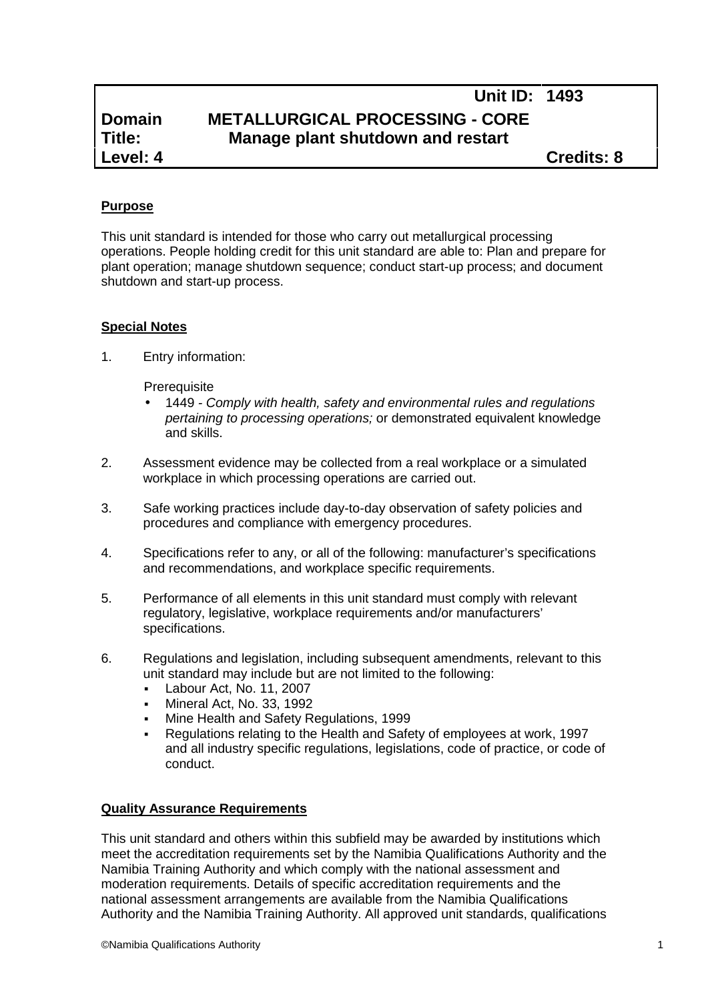# **Domain METALLURGICAL PROCESSING - CORE**<br>Title: **Manage plant shutdown and restart Title: Manage plant shutdown and restart**

**Level: 4 Credits: 8**

**Unit ID: 1493**

# **Purpose**

This unit standard is intended for those who carry out metallurgical processing operations. People holding credit for this unit standard are able to: Plan and prepare for plant operation; manage shutdown sequence; conduct start-up process; and document shutdown and start-up process.

#### **Special Notes**

1. Entry information:

**Prerequisite** 

- 1449 *- Comply with health, safety and environmental rules and regulations pertaining to processing operations;* or demonstrated equivalent knowledge and skills.
- 2. Assessment evidence may be collected from a real workplace or a simulated workplace in which processing operations are carried out.
- 3. Safe working practices include day-to-day observation of safety policies and procedures and compliance with emergency procedures.
- 4. Specifications refer to any, or all of the following: manufacturer's specifications and recommendations, and workplace specific requirements.
- 5. Performance of all elements in this unit standard must comply with relevant regulatory, legislative, workplace requirements and/or manufacturers' specifications.
- 6. Regulations and legislation, including subsequent amendments, relevant to this unit standard may include but are not limited to the following:
	- Labour Act, No. 11, 2007
	- Mineral Act, No. 33, 1992
	- **Mine Health and Safety Regulations, 1999**
	- Regulations relating to the Health and Safety of employees at work, 1997 and all industry specific regulations, legislations, code of practice, or code of conduct.

## **Quality Assurance Requirements**

This unit standard and others within this subfield may be awarded by institutions which meet the accreditation requirements set by the Namibia Qualifications Authority and the Namibia Training Authority and which comply with the national assessment and moderation requirements. Details of specific accreditation requirements and the national assessment arrangements are available from the Namibia Qualifications Authority and the Namibia Training Authority. All approved unit standards, qualifications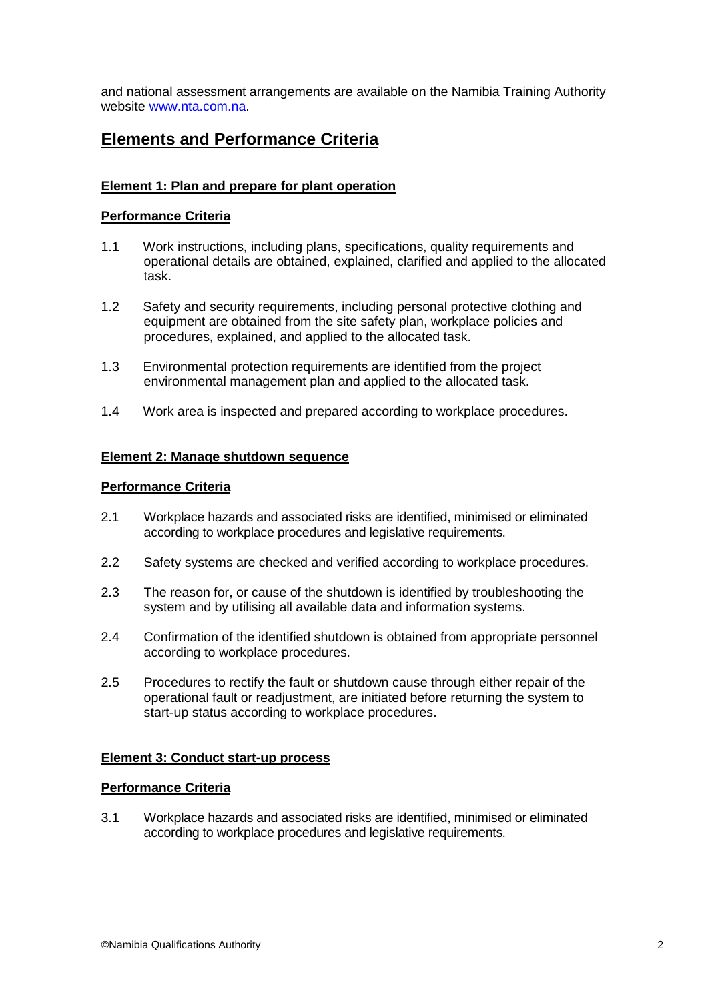and national assessment arrangements are available on the Namibia Training Authority website www.nta.com.na.

# **Elements and Performance Criteria**

# **Element 1: Plan and prepare for plant operation**

## **Performance Criteria**

- 1.1 Work instructions, including plans, specifications, quality requirements and operational details are obtained, explained, clarified and applied to the allocated task.
- 1.2 Safety and security requirements, including personal protective clothing and equipment are obtained from the site safety plan, workplace policies and procedures, explained, and applied to the allocated task.
- 1.3 Environmental protection requirements are identified from the project environmental management plan and applied to the allocated task.
- 1.4 Work area is inspected and prepared according to workplace procedures.

## **Element 2: Manage shutdown sequence**

#### **Performance Criteria**

- 2.1 Workplace hazards and associated risks are identified, minimised or eliminated according to workplace procedures and legislative requirements.
- 2.2 Safety systems are checked and verified according to workplace procedures.
- 2.3 The reason for, or cause of the shutdown is identified by troubleshooting the system and by utilising all available data and information systems.
- 2.4 Confirmation of the identified shutdown is obtained from appropriate personnel according to workplace procedures.
- 2.5 Procedures to rectify the fault or shutdown cause through either repair of the operational fault or readjustment, are initiated before returning the system to start-up status according to workplace procedures.

## **Element 3: Conduct start-up process**

#### **Performance Criteria**

3.1 Workplace hazards and associated risks are identified, minimised or eliminated according to workplace procedures and legislative requirements.